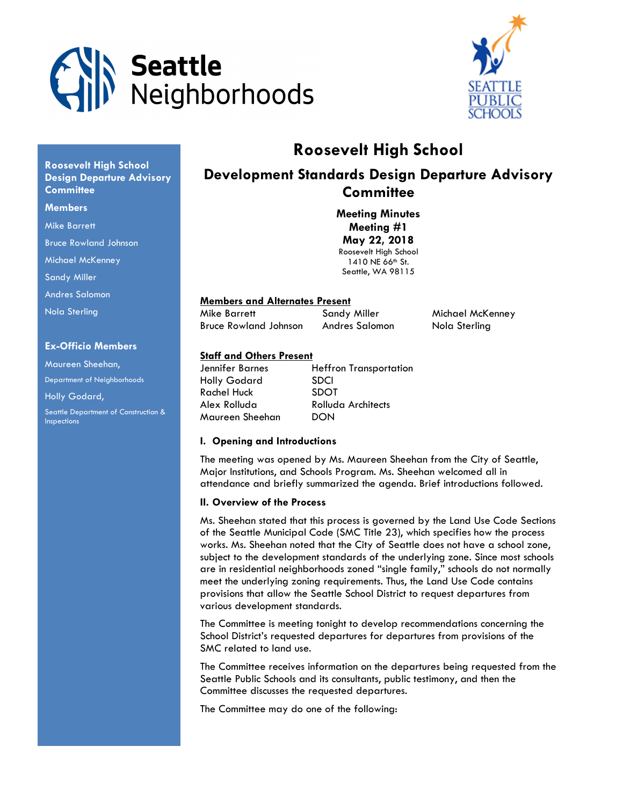



# Roosevelt High School

# Development Standards Design Departure Advisory **Committee**

Meeting Minutes Meeting #1 May 22, 2018 Roosevelt High School 1410 NE 66<sup>th</sup> St. Seattle, WA 98115

# Members and Alternates Present

Mike Barrett **Sandy Miller** Michael McKenney Bruce Rowland Johnson Andres Salomon Nola Sterling

# Staff and Others Present

| Jennifer Barnes     | <b>Heffron Transportation</b> |
|---------------------|-------------------------------|
| <b>Holly Godard</b> | <b>SDCI</b>                   |
| <b>Rachel Huck</b>  | <b>SDOT</b>                   |
| Alex Rolluda        | Rolluda Architects            |
| Maureen Sheehan     | DON                           |

#### I. Opening and Introductions

The meeting was opened by Ms. Maureen Sheehan from the City of Seattle, Major Institutions, and Schools Program. Ms. Sheehan welcomed all in attendance and briefly summarized the agenda. Brief introductions followed.

#### II. Overview of the Process

Ms. Sheehan stated that this process is governed by the Land Use Code Sections of the Seattle Municipal Code (SMC Title 23), which specifies how the process works. Ms. Sheehan noted that the City of Seattle does not have a school zone, subject to the development standards of the underlying zone. Since most schools are in residential neighborhoods zoned "single family," schools do not normally meet the underlying zoning requirements. Thus, the Land Use Code contains provisions that allow the Seattle School District to request departures from various development standards.

The Committee is meeting tonight to develop recommendations concerning the School District's requested departures for departures from provisions of the SMC related to land use.

The Committee receives information on the departures being requested from the Seattle Public Schools and its consultants, public testimony, and then the Committee discusses the requested departures.

The Committee may do one of the following:

Roosevelt High School Design Departure Advisory **Committee** 

#### **Members**

Mike Barrett

Bruce Rowland Johnson

Michael McKenney

Sandy Miller

Andres Salomon

Nola Sterling

#### Ex-Officio Members

Maureen Sheehan, Department of Neighborhoods Holly Godard,

Seattle Department of Construction & Inspections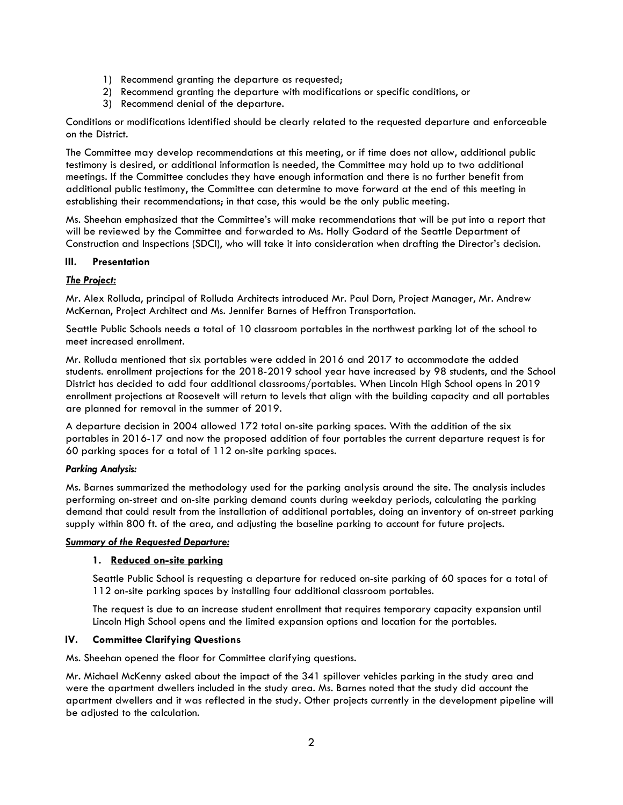- 1) Recommend granting the departure as requested;
- 2) Recommend granting the departure with modifications or specific conditions, or
- 3) Recommend denial of the departure.

Conditions or modifications identified should be clearly related to the requested departure and enforceable on the District.

The Committee may develop recommendations at this meeting, or if time does not allow, additional public testimony is desired, or additional information is needed, the Committee may hold up to two additional meetings. If the Committee concludes they have enough information and there is no further benefit from additional public testimony, the Committee can determine to move forward at the end of this meeting in establishing their recommendations; in that case, this would be the only public meeting.

Ms. Sheehan emphasized that the Committee's will make recommendations that will be put into a report that will be reviewed by the Committee and forwarded to Ms. Holly Godard of the Seattle Department of Construction and Inspections (SDCI), who will take it into consideration when drafting the Director's decision.

# III. Presentation

# **The Project:**

Mr. Alex Rolluda, principal of Rolluda Architects introduced Mr. Paul Dorn, Project Manager, Mr. Andrew McKernan, Project Architect and Ms. Jennifer Barnes of Heffron Transportation.

Seattle Public Schools needs a total of 10 classroom portables in the northwest parking lot of the school to meet increased enrollment.

Mr. Rolluda mentioned that six portables were added in 2016 and 2017 to accommodate the added students. enrollment projections for the 2018-2019 school year have increased by 98 students, and the School District has decided to add four additional classrooms/portables. When Lincoln High School opens in 2019 enrollment projections at Roosevelt will return to levels that align with the building capacity and all portables are planned for removal in the summer of 2019.

A departure decision in 2004 allowed 172 total on-site parking spaces. With the addition of the six portables in 2016-17 and now the proposed addition of four portables the current departure request is for 60 parking spaces for a total of 112 on-site parking spaces.

#### Parking Analysis:

Ms. Barnes summarized the methodology used for the parking analysis around the site. The analysis includes performing on-street and on-site parking demand counts during weekday periods, calculating the parking demand that could result from the installation of additional portables, doing an inventory of on-street parking supply within 800 ft. of the area, and adjusting the baseline parking to account for future projects.

#### Summary of the Requested Departure:

#### 1. Reduced on-site parking

Seattle Public School is requesting a departure for reduced on-site parking of 60 spaces for a total of 112 on-site parking spaces by installing four additional classroom portables.

The request is due to an increase student enrollment that requires temporary capacity expansion until Lincoln High School opens and the limited expansion options and location for the portables.

#### IV. Committee Clarifying Questions

Ms. Sheehan opened the floor for Committee clarifying questions.

Mr. Michael McKenny asked about the impact of the 341 spillover vehicles parking in the study area and were the apartment dwellers included in the study area. Ms. Barnes noted that the study did account the apartment dwellers and it was reflected in the study. Other projects currently in the development pipeline will be adjusted to the calculation.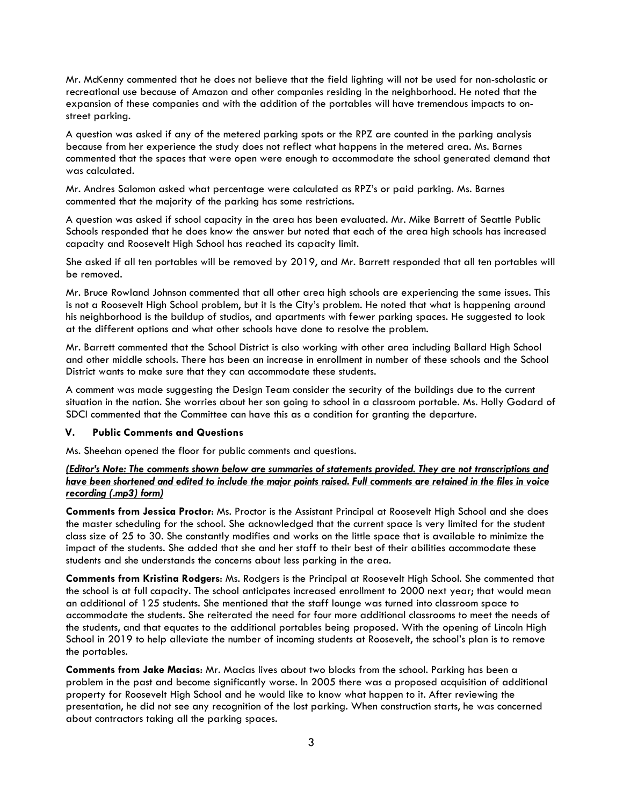Mr. McKenny commented that he does not believe that the field lighting will not be used for non-scholastic or recreational use because of Amazon and other companies residing in the neighborhood. He noted that the expansion of these companies and with the addition of the portables will have tremendous impacts to onstreet parking.

A question was asked if any of the metered parking spots or the RPZ are counted in the parking analysis because from her experience the study does not reflect what happens in the metered area. Ms. Barnes commented that the spaces that were open were enough to accommodate the school generated demand that was calculated.

Mr. Andres Salomon asked what percentage were calculated as RPZ's or paid parking. Ms. Barnes commented that the majority of the parking has some restrictions.

A question was asked if school capacity in the area has been evaluated. Mr. Mike Barrett of Seattle Public Schools responded that he does know the answer but noted that each of the area high schools has increased capacity and Roosevelt High School has reached its capacity limit.

She asked if all ten portables will be removed by 2019, and Mr. Barrett responded that all ten portables will be removed.

Mr. Bruce Rowland Johnson commented that all other area high schools are experiencing the same issues. This is not a Roosevelt High School problem, but it is the City's problem. He noted that what is happening around his neighborhood is the buildup of studios, and apartments with fewer parking spaces. He suggested to look at the different options and what other schools have done to resolve the problem.

Mr. Barrett commented that the School District is also working with other area including Ballard High School and other middle schools. There has been an increase in enrollment in number of these schools and the School District wants to make sure that they can accommodate these students.

A comment was made suggesting the Design Team consider the security of the buildings due to the current situation in the nation. She worries about her son going to school in a classroom portable. Ms. Holly Godard of SDCI commented that the Committee can have this as a condition for granting the departure.

#### V. Public Comments and Questions

Ms. Sheehan opened the floor for public comments and questions.

#### (Editor's Note: The comments shown below are summaries of statements provided. They are not transcriptions and have been shortened and edited to include the major points raised. Full comments are retained in the files in voice recording (.mp3) form)

Comments from Jessica Proctor: Ms. Proctor is the Assistant Principal at Roosevelt High School and she does the master scheduling for the school. She acknowledged that the current space is very limited for the student class size of 25 to 30. She constantly modifies and works on the little space that is available to minimize the impact of the students. She added that she and her staff to their best of their abilities accommodate these students and she understands the concerns about less parking in the area.

Comments from Kristina Rodgers: Ms. Rodgers is the Principal at Roosevelt High School. She commented that the school is at full capacity. The school anticipates increased enrollment to 2000 next year; that would mean an additional of 125 students. She mentioned that the staff lounge was turned into classroom space to accommodate the students. She reiterated the need for four more additional classrooms to meet the needs of the students, and that equates to the additional portables being proposed. With the opening of Lincoln High School in 2019 to help alleviate the number of incoming students at Roosevelt, the school's plan is to remove the portables.

Comments from Jake Macias: Mr. Macias lives about two blocks from the school. Parking has been a problem in the past and become significantly worse. In 2005 there was a proposed acquisition of additional property for Roosevelt High School and he would like to know what happen to it. After reviewing the presentation, he did not see any recognition of the lost parking. When construction starts, he was concerned about contractors taking all the parking spaces.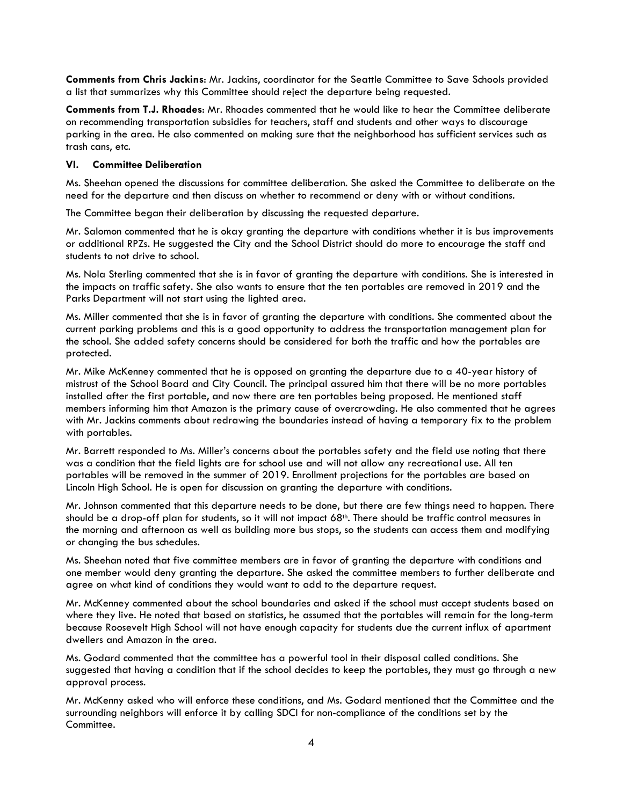Comments from Chris Jackins: Mr. Jackins, coordinator for the Seattle Committee to Save Schools provided a list that summarizes why this Committee should reject the departure being requested.

Comments from T.J. Rhoades: Mr. Rhoades commented that he would like to hear the Committee deliberate on recommending transportation subsidies for teachers, staff and students and other ways to discourage parking in the area. He also commented on making sure that the neighborhood has sufficient services such as trash cans, etc.

#### VI. Committee Deliberation

Ms. Sheehan opened the discussions for committee deliberation. She asked the Committee to deliberate on the need for the departure and then discuss on whether to recommend or deny with or without conditions.

The Committee began their deliberation by discussing the requested departure.

Mr. Salomon commented that he is okay granting the departure with conditions whether it is bus improvements or additional RPZs. He suggested the City and the School District should do more to encourage the staff and students to not drive to school.

Ms. Nola Sterling commented that she is in favor of granting the departure with conditions. She is interested in the impacts on traffic safety. She also wants to ensure that the ten portables are removed in 2019 and the Parks Department will not start using the lighted area.

Ms. Miller commented that she is in favor of granting the departure with conditions. She commented about the current parking problems and this is a good opportunity to address the transportation management plan for the school. She added safety concerns should be considered for both the traffic and how the portables are protected.

Mr. Mike McKenney commented that he is opposed on granting the departure due to a 40-year history of mistrust of the School Board and City Council. The principal assured him that there will be no more portables installed after the first portable, and now there are ten portables being proposed. He mentioned staff members informing him that Amazon is the primary cause of overcrowding. He also commented that he agrees with Mr. Jackins comments about redrawing the boundaries instead of having a temporary fix to the problem with portables.

Mr. Barrett responded to Ms. Miller's concerns about the portables safety and the field use noting that there was a condition that the field lights are for school use and will not allow any recreational use. All ten portables will be removed in the summer of 2019. Enrollment projections for the portables are based on Lincoln High School. He is open for discussion on granting the departure with conditions.

Mr. Johnson commented that this departure needs to be done, but there are few things need to happen. There should be a drop-off plan for students, so it will not impact 68th. There should be traffic control measures in the morning and afternoon as well as building more bus stops, so the students can access them and modifying or changing the bus schedules.

Ms. Sheehan noted that five committee members are in favor of granting the departure with conditions and one member would deny granting the departure. She asked the committee members to further deliberate and agree on what kind of conditions they would want to add to the departure request.

Mr. McKenney commented about the school boundaries and asked if the school must accept students based on where they live. He noted that based on statistics, he assumed that the portables will remain for the long-term because Roosevelt High School will not have enough capacity for students due the current influx of apartment dwellers and Amazon in the area.

Ms. Godard commented that the committee has a powerful tool in their disposal called conditions. She suggested that having a condition that if the school decides to keep the portables, they must go through a new approval process.

Mr. McKenny asked who will enforce these conditions, and Ms. Godard mentioned that the Committee and the surrounding neighbors will enforce it by calling SDCI for non-compliance of the conditions set by the Committee.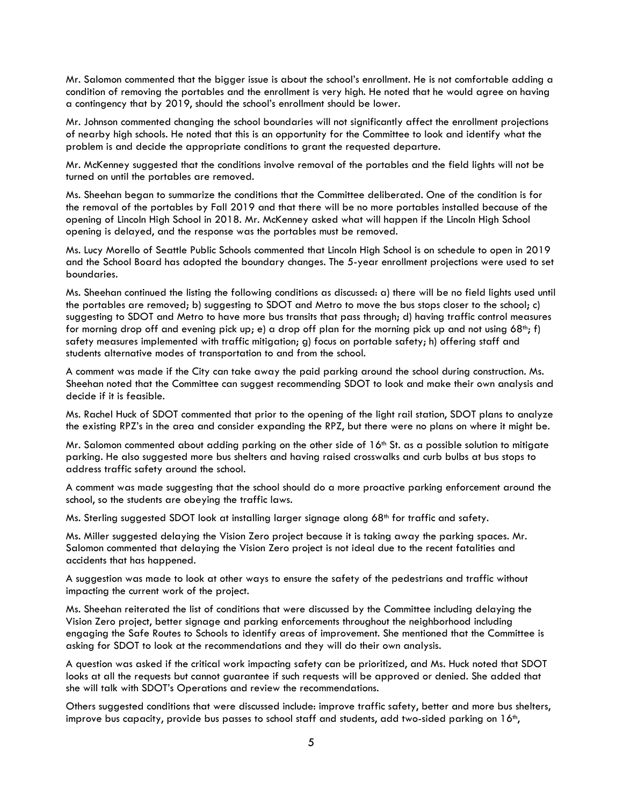Mr. Salomon commented that the bigger issue is about the school's enrollment. He is not comfortable adding a condition of removing the portables and the enrollment is very high. He noted that he would agree on having a contingency that by 2019, should the school's enrollment should be lower.

Mr. Johnson commented changing the school boundaries will not significantly affect the enrollment projections of nearby high schools. He noted that this is an opportunity for the Committee to look and identify what the problem is and decide the appropriate conditions to grant the requested departure.

Mr. McKenney suggested that the conditions involve removal of the portables and the field lights will not be turned on until the portables are removed.

Ms. Sheehan began to summarize the conditions that the Committee deliberated. One of the condition is for the removal of the portables by Fall 2019 and that there will be no more portables installed because of the opening of Lincoln High School in 2018. Mr. McKenney asked what will happen if the Lincoln High School opening is delayed, and the response was the portables must be removed.

Ms. Lucy Morello of Seattle Public Schools commented that Lincoln High School is on schedule to open in 2019 and the School Board has adopted the boundary changes. The 5-year enrollment projections were used to set boundaries.

Ms. Sheehan continued the listing the following conditions as discussed: a) there will be no field lights used until the portables are removed; b) suggesting to SDOT and Metro to move the bus stops closer to the school; c) suggesting to SDOT and Metro to have more bus transits that pass through; d) having traffic control measures for morning drop off and evening pick up; e) a drop off plan for the morning pick up and not using  $68^{\text{th}}$ ; f) safety measures implemented with traffic mitigation; g) focus on portable safety; h) offering staff and students alternative modes of transportation to and from the school.

A comment was made if the City can take away the paid parking around the school during construction. Ms. Sheehan noted that the Committee can suggest recommending SDOT to look and make their own analysis and decide if it is feasible.

Ms. Rachel Huck of SDOT commented that prior to the opening of the light rail station, SDOT plans to analyze the existing RPZ's in the area and consider expanding the RPZ, but there were no plans on where it might be.

Mr. Salomon commented about adding parking on the other side of  $16<sup>th</sup>$  St. as a possible solution to mitigate parking. He also suggested more bus shelters and having raised crosswalks and curb bulbs at bus stops to address traffic safety around the school.

A comment was made suggesting that the school should do a more proactive parking enforcement around the school, so the students are obeying the traffic laws.

Ms. Sterling suggested SDOT look at installing larger signage along 68<sup>th</sup> for traffic and safety.

Ms. Miller suggested delaying the Vision Zero project because it is taking away the parking spaces. Mr. Salomon commented that delaying the Vision Zero project is not ideal due to the recent fatalities and accidents that has happened.

A suggestion was made to look at other ways to ensure the safety of the pedestrians and traffic without impacting the current work of the project.

Ms. Sheehan reiterated the list of conditions that were discussed by the Committee including delaying the Vision Zero project, better signage and parking enforcements throughout the neighborhood including engaging the Safe Routes to Schools to identify areas of improvement. She mentioned that the Committee is asking for SDOT to look at the recommendations and they will do their own analysis.

A question was asked if the critical work impacting safety can be prioritized, and Ms. Huck noted that SDOT looks at all the requests but cannot guarantee if such requests will be approved or denied. She added that she will talk with SDOT's Operations and review the recommendations.

Others suggested conditions that were discussed include: improve traffic safety, better and more bus shelters, improve bus capacity, provide bus passes to school staff and students, add two-sided parking on 16th,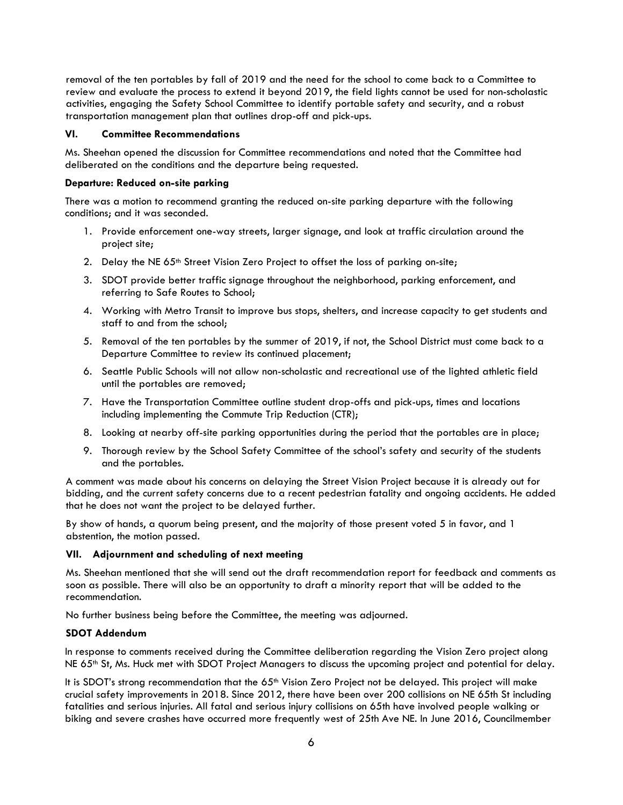removal of the ten portables by fall of 2019 and the need for the school to come back to a Committee to review and evaluate the process to extend it beyond 2019, the field lights cannot be used for non-scholastic activities, engaging the Safety School Committee to identify portable safety and security, and a robust transportation management plan that outlines drop-off and pick-ups.

# VI. Committee Recommendations

Ms. Sheehan opened the discussion for Committee recommendations and noted that the Committee had deliberated on the conditions and the departure being requested.

#### Departure: Reduced on-site parking

There was a motion to recommend granting the reduced on-site parking departure with the following conditions; and it was seconded.

- 1. Provide enforcement one-way streets, larger signage, and look at traffic circulation around the project site;
- 2. Delay the NE 65<sup>th</sup> Street Vision Zero Project to offset the loss of parking on-site;
- 3. SDOT provide better traffic signage throughout the neighborhood, parking enforcement, and referring to Safe Routes to School;
- 4. Working with Metro Transit to improve bus stops, shelters, and increase capacity to get students and staff to and from the school;
- 5. Removal of the ten portables by the summer of 2019, if not, the School District must come back to a Departure Committee to review its continued placement;
- 6. Seattle Public Schools will not allow non-scholastic and recreational use of the lighted athletic field until the portables are removed;
- 7. Have the Transportation Committee outline student drop-offs and pick-ups, times and locations including implementing the Commute Trip Reduction (CTR);
- 8. Looking at nearby off-site parking opportunities during the period that the portables are in place;
- 9. Thorough review by the School Safety Committee of the school's safety and security of the students and the portables.

A comment was made about his concerns on delaying the Street Vision Project because it is already out for bidding, and the current safety concerns due to a recent pedestrian fatality and ongoing accidents. He added that he does not want the project to be delayed further.

By show of hands, a quorum being present, and the majority of those present voted 5 in favor, and 1 abstention, the motion passed.

#### VII. Adjournment and scheduling of next meeting

Ms. Sheehan mentioned that she will send out the draft recommendation report for feedback and comments as soon as possible. There will also be an opportunity to draft a minority report that will be added to the recommendation.

No further business being before the Committee, the meeting was adjourned.

#### SDOT Addendum

In response to comments received during the Committee deliberation regarding the Vision Zero project along NE 65<sup>th</sup> St, Ms. Huck met with SDOT Project Managers to discuss the upcoming project and potential for delay.

It is SDOT's strong recommendation that the 65<sup>th</sup> Vision Zero Project not be delayed. This project will make crucial safety improvements in 2018. Since 2012, there have been over 200 collisions on NE 65th St including fatalities and serious injuries. All fatal and serious injury collisions on 65th have involved people walking or biking and severe crashes have occurred more frequently west of 25th Ave NE. In June 2016, Councilmember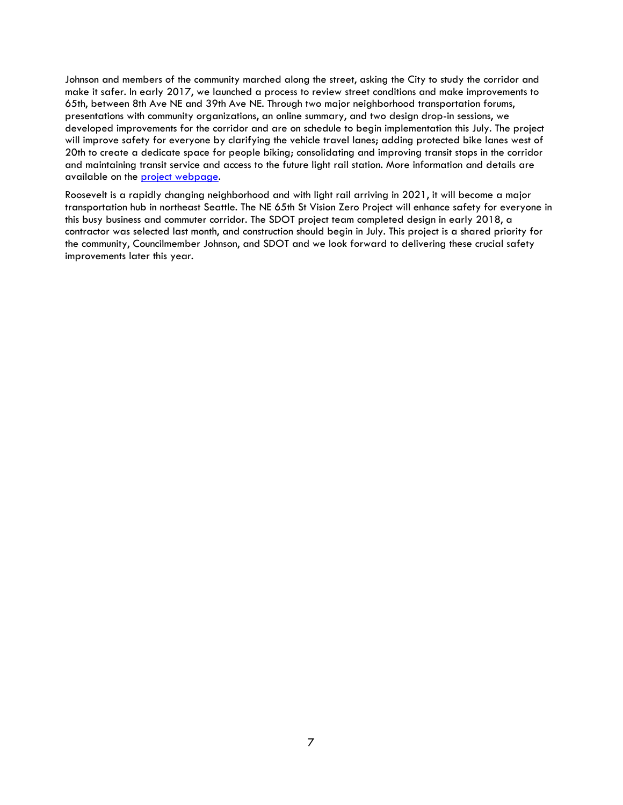Johnson and members of the community marched along the street, asking the City to study the corridor and make it safer. In early 2017, we launched a process to review street conditions and make improvements to 65th, between 8th Ave NE and 39th Ave NE. Through two major neighborhood transportation forums, presentations with community organizations, an online summary, and two design drop-in sessions, we developed improvements for the corridor and are on schedule to begin implementation this July. The project will improve safety for everyone by clarifying the vehicle travel lanes; adding protected bike lanes west of 20th to create a dedicate space for people biking; consolidating and improving transit stops in the corridor and maintaining transit service and access to the future light rail station. More information and details are available on the project webpage.

Roosevelt is a rapidly changing neighborhood and with light rail arriving in 2021, it will become a major transportation hub in northeast Seattle. The NE 65th St Vision Zero Project will enhance safety for everyone in this busy business and commuter corridor. The SDOT project team completed design in early 2018, a contractor was selected last month, and construction should begin in July. This project is a shared priority for the community, Councilmember Johnson, and SDOT and we look forward to delivering these crucial safety improvements later this year.